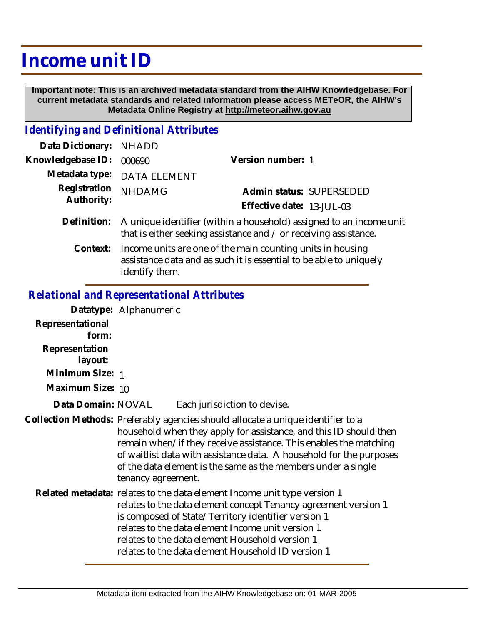## **Income unit ID**

 **Important note: This is an archived metadata standard from the AIHW Knowledgebase. For current metadata standards and related information please access METeOR, the AIHW's Metadata Online Registry at http://meteor.aihw.gov.au**

## *Identifying and Definitional Attributes*

| Data Dictionary: NHADD |                                                                                                                                         |                           |                          |
|------------------------|-----------------------------------------------------------------------------------------------------------------------------------------|---------------------------|--------------------------|
| Knowledgebase ID:      | 000690                                                                                                                                  | Version number: 1         |                          |
|                        | Metadata type: DATA ELEMENT                                                                                                             |                           |                          |
| Registration           | <b>NHDAMG</b>                                                                                                                           |                           | Admin status: SUPERSEDED |
| Authority:             |                                                                                                                                         | Effective date: 13-JUL-03 |                          |
| Definition:            | A unique identifier (within a household) assigned to an income unit<br>that is either seeking assistance and / or receiving assistance. |                           |                          |
|                        |                                                                                                                                         |                           |                          |

Income units are one of the main counting units in housing assistance data and as such it is essential to be able to uniquely identify them. **Context:**

## *Relational and Representational Attributes*

|                           | Datatype: Alphanumeric                                                                                                                                                                                                                                                                                                                                                                   |  |
|---------------------------|------------------------------------------------------------------------------------------------------------------------------------------------------------------------------------------------------------------------------------------------------------------------------------------------------------------------------------------------------------------------------------------|--|
| Representational<br>form: |                                                                                                                                                                                                                                                                                                                                                                                          |  |
| Representation<br>layout: |                                                                                                                                                                                                                                                                                                                                                                                          |  |
| Minimum Size: 1           |                                                                                                                                                                                                                                                                                                                                                                                          |  |
| Maximum Size: 10          |                                                                                                                                                                                                                                                                                                                                                                                          |  |
| Data Domain: NOVAL        | Each jurisdiction to devise.                                                                                                                                                                                                                                                                                                                                                             |  |
|                           | Collection Methods: Preferably agencies should allocate a unique identifier to a<br>household when they apply for assistance, and this ID should then<br>remain when/if they receive assistance. This enables the matching<br>of waitlist data with assistance data. A household for the purposes<br>of the data element is the same as the members under a single<br>tenancy agreement. |  |
|                           | Related metadata: relates to the data element Income unit type version 1<br>relates to the data element concept Tenancy agreement version 1<br>is composed of State/Territory identifier version 1<br>relates to the data element Income unit version 1<br>relates to the data element Household version 1<br>relates to the data element Household ID version 1                         |  |